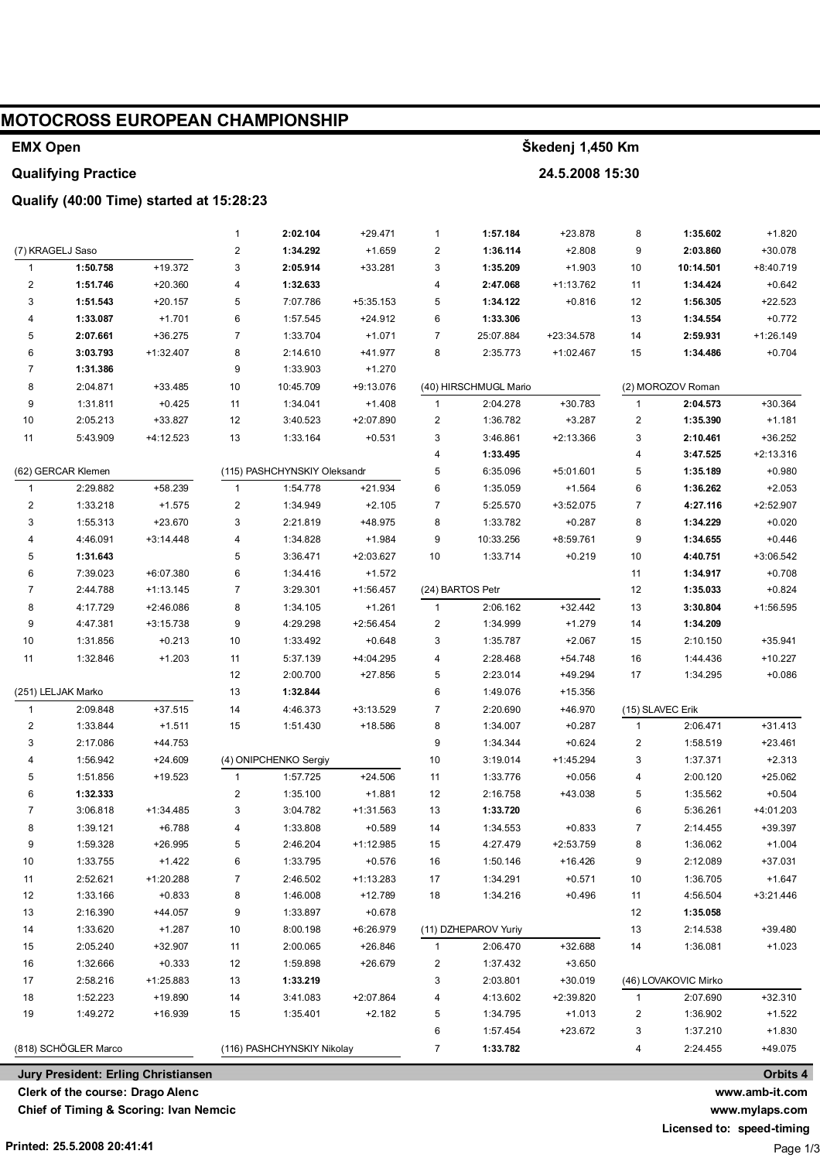| <b>EMX Open</b>            |                                  |                                          |                         |                              | Škedenj 1,450 Km      |                                         |                       |                       |                |                      |                |
|----------------------------|----------------------------------|------------------------------------------|-------------------------|------------------------------|-----------------------|-----------------------------------------|-----------------------|-----------------------|----------------|----------------------|----------------|
| <b>Qualifying Practice</b> |                                  |                                          |                         |                              |                       |                                         | 24.5.2008 15:30       |                       |                |                      |                |
|                            |                                  | Qualify (40:00 Time) started at 15:28:23 |                         |                              |                       |                                         |                       |                       |                |                      |                |
|                            |                                  |                                          | $\mathbf{1}$            | 2:02.104                     | $+29.471$             | 1                                       | 1:57.184              | +23.878               | 8              | 1:35.602             | $+1.820$       |
|                            | (7) KRAGELJ Saso                 |                                          | $\overline{\mathbf{c}}$ | 1:34.292                     | $+1.659$              | 2                                       | 1:36.114              | $+2.808$              | 9              | 2:03.860             | +30.078        |
| $\overline{1}$             | 1:50.758                         | $+19.372$                                | 3                       | 2:05.914                     | +33.281               | 3                                       | 1:35.209              | $+1.903$              | 10             | 10:14.501            | +8:40.719      |
| $\overline{\mathbf{c}}$    | 1:51.746                         | $+20.360$                                | 4                       | 1:32.633                     |                       | 4                                       | 2:47.068              | $+1:13.762$           | 11             | 1:34.424             | $+0.642$       |
| 3                          | 1:51.543                         | $+20.157$                                | 5                       | 7:07.786                     | +5:35.153             | 5                                       | 1:34.122              | $+0.816$              | 12             | 1:56.305             | +22.523        |
| 4                          | 1:33.087                         | $+1.701$                                 | 6                       | 1:57.545                     | $+24.912$             | 6                                       | 1:33.306              |                       | 13             | 1:34.554             | $+0.772$       |
| 5                          | 2:07.661                         | $+36.275$                                | $\overline{7}$          | 1:33.704                     | $+1.071$              | 7                                       | 25:07.884             | +23:34.578            | 14             | 2:59.931             | $+1:26.149$    |
| 6                          | 3:03.793                         | +1:32.407                                | 8                       | 2:14.610                     | +41.977               | 8                                       | 2:35.773              | +1:02.467             | 15             | 1:34.486             | $+0.704$       |
| $\overline{7}$             | 1:31.386                         |                                          | 9                       | 1:33.903                     | $+1.270$              |                                         |                       |                       |                |                      |                |
| 8                          | 2:04.871                         | +33.485                                  | 10                      | 10:45.709                    | +9:13.076             |                                         | (40) HIRSCHMUGL Mario |                       |                | (2) MOROZOV Roman    |                |
| 9                          | 1:31.811                         | $+0.425$                                 | 11                      | 1:34.041                     | $+1.408$              | $\mathbf{1}$                            | 2:04.278              | +30.783               | $\mathbf{1}$   | 2:04.573             | +30.364        |
| 10                         | 2:05.213                         | +33.827                                  | 12                      | 3:40.523                     | +2:07.890             | 2                                       | 1:36.782              | $+3.287$              | 2              | 1:35.390             | $+1.181$       |
| 11                         | 5:43.909                         | +4:12.523                                | 13                      | 1:33.164                     | $+0.531$              | 3                                       | 3:46.861              | $+2:13.366$           | 3              | 2:10.461             | $+36.252$      |
|                            |                                  |                                          |                         |                              |                       | 4                                       | 1:33.495              |                       | 4              | 3:47.525             | $+2:13.316$    |
|                            | (62) GERCAR Klemen               |                                          |                         | (115) PASHCHYNSKIY Oleksandr |                       | 5                                       | 6:35.096              | $+5:01.601$           | 5              | 1:35.189             | $+0.980$       |
| $\mathbf{1}$               | 2:29.882                         | +58.239                                  | $\mathbf{1}$            | 1:54.778                     | $+21.934$             | 6                                       | 1:35.059              | $+1.564$              | 6              | 1:36.262             | $+2.053$       |
| $\overline{\mathbf{c}}$    | 1:33.218                         | $+1.575$                                 | $\overline{\mathbf{c}}$ | 1:34.949                     | $+2.105$              | 7                                       | 5:25.570              | +3:52.075             | 7              | 4:27.116             | +2:52.907      |
| 3                          | 1:55.313                         | +23.670                                  | 3                       | 2:21.819                     | +48.975               | 8                                       | 1:33.782              | $+0.287$              | 8              | 1:34.229             | $+0.020$       |
| 4                          | 4:46.091                         | +3:14.448                                | 4                       | 1:34.828                     | $+1.984$              | 9                                       | 10:33.256             | +8:59.761             | 9              | 1:34.655             | $+0.446$       |
| 5                          | 1:31.643                         |                                          | 5                       | 3:36.471                     | +2:03.627             | 10                                      | 1:33.714              | $+0.219$              | 10             | 4:40.751             | +3:06.542      |
| 6                          | 7:39.023                         | +6:07.380                                | 6                       | 1:34.416                     | $+1.572$              |                                         |                       |                       | 11             | 1:34.917             | $+0.708$       |
| $\overline{7}$             | 2:44.788                         | $+1:13.145$                              | $\overline{7}$          | 3:29.301                     | $+1:56.457$           |                                         | (24) BARTOS Petr      |                       | 12             | 1:35.033             | $+0.824$       |
| 8<br>9                     | 4:17.729<br>4:47.381             | +2:46.086<br>$+3:15.738$                 | 8<br>9                  | 1:34.105                     | $+1.261$<br>+2:56.454 | $\mathbf{1}$<br>$\overline{\mathbf{c}}$ | 2:06.162              | $+32.442$<br>$+1.279$ | 13<br>14       | 3:30.804<br>1:34.209 | +1:56.595      |
| 10                         | 1:31.856                         | $+0.213$                                 | 10                      | 4:29.298<br>1:33.492         | $+0.648$              | 3                                       | 1:34.999<br>1:35.787  | $+2.067$              | 15             | 2:10.150             | $+35.941$      |
| 11                         | 1:32.846                         | $+1.203$                                 | 11                      | 5:37.139                     | +4:04.295             | 4                                       | 2:28.468              | +54.748               | 16             | 1:44.436             | $+10.227$      |
|                            |                                  |                                          | 12                      | 2:00.700                     | +27.856               | 5                                       | 2:23.014              | +49.294               | 17             | 1:34.295             | $+0.086$       |
| (251) LELJAK Marko<br>13   |                                  |                                          | 1:32.844                |                              | 6                     | 1:49.076                                | +15.356               |                       |                |                      |                |
| $\overline{1}$             | 2:09.848                         | $+37.515$                                | 14                      | 4:46.373                     | +3:13.529             | 7                                       | 2:20.690              | +46.970               |                | (15) SLAVEC Erik     |                |
| 2                          | 1:33.844                         | $+1.511$                                 | 15                      | 1:51.430                     | +18.586               | 8                                       | 1:34.007              | $+0.287$              | 1              | 2:06.471             | $+31.413$      |
| 3                          | 2:17.086                         | +44.753                                  |                         |                              |                       | 9                                       | 1:34.344              | $+0.624$              | 2              | 1:58.519             | $+23.461$      |
| 4                          | 1:56.942                         | $+24.609$                                |                         | (4) ONIPCHENKO Sergiy        |                       | $10$                                    | 3:19.014              | $+1:45.294$           | 3              | 1:37.371             | $+2.313$       |
| 5                          | 1:51.856                         | $+19.523$                                | $\mathbf{1}$            | 1:57.725                     | $+24.506$             | 11                                      | 1:33.776              | $+0.056$              | 4              | 2:00.120             | $+25.062$      |
| 6                          | 1:32.333                         |                                          | $\sqrt{2}$              | 1:35.100                     | $+1.881$              | 12                                      | 2:16.758              | +43.038               | 5              | 1:35.562             | $+0.504$       |
| 7                          | 3:06.818                         | +1:34.485                                | 3                       | 3:04.782                     | +1:31.563             | 13                                      | 1:33.720              |                       | 6              | 5:36.261             | +4:01.203      |
| 8                          | 1:39.121                         | $+6.788$                                 | 4                       | 1:33.808                     | $+0.589$              | 14                                      | 1:34.553              | $+0.833$              | $\overline{7}$ | 2:14.455             | +39.397        |
| 9                          | 1:59.328                         | +26.995                                  | 5                       | 2:46.204                     | $+1:12.985$           | 15                                      | 4:27.479              | $+2:53.759$           | 8              | 1:36.062             | $+1.004$       |
| 10                         | 1:33.755                         | $+1.422$                                 | 6                       | 1:33.795                     | $+0.576$              | 16                                      | 1:50.146              | $+16.426$             | 9              | 2:12.089             | $+37.031$      |
| 11                         | 2:52.621                         | +1:20.288                                | $\boldsymbol{7}$        | 2:46.502                     | $+1:13.283$           | 17                                      | 1:34.291              | $+0.571$              | 10             | 1:36.705             | $+1.647$       |
| 12                         | 1:33.166                         | $+0.833$                                 | 8                       | 1:46.008                     | $+12.789$             | 18                                      | 1:34.216              | $+0.496$              | 11             | 4:56.504             | $+3:21.446$    |
| 13                         | 2:16.390                         | $+44.057$                                | 9                       | 1:33.897                     | $+0.678$              |                                         |                       |                       | 12             | 1:35.058             |                |
| 14                         | 1:33.620                         | $+1.287$                                 | $10$                    | 8:00.198                     | +6:26.979             |                                         | (11) DZHEPAROV Yuriy  |                       | 13             | 2:14.538             | +39.480        |
| 15                         | 2:05.240                         | +32.907                                  | 11                      | 2:00.065                     | $+26.846$             | 1                                       | 2:06.470              | +32.688               | 14             | 1:36.081             | $+1.023$       |
| 16                         | 1:32.666                         | $+0.333$                                 | 12                      | 1:59.898                     | +26.679               | 2                                       | 1:37.432              | $+3.650$              |                |                      |                |
| 17                         | 2:58.216                         | +1:25.883                                | 13                      | 1:33.219                     |                       | 3                                       | 2:03.801              | $+30.019$             |                | (46) LOVAKOVIC Mirko |                |
| 18                         | 1:52.223                         | +19.890                                  | 14                      | 3:41.083                     | $+2:07.864$           | 4                                       | 4:13.602              | +2:39.820             | $\mathbf{1}$   | 2:07.690             | $+32.310$      |
| 19                         | 1:49.272                         | +16.939                                  | 15                      | 1:35.401                     | $+2.182$              | 5                                       | 1:34.795              | $+1.013$              | 2              | 1:36.902             | $+1.522$       |
|                            |                                  |                                          |                         |                              |                       | 6                                       | 1:57.454              | $+23.672$             | 3              | 1:37.210             | $+1.830$       |
|                            | (818) SCHÖGLER Marco             |                                          |                         | (116) PASHCHYNSKIY Nikolay   |                       | 7                                       | 1:33.782              |                       | 4              | 2:24.455             | $+49.075$      |
|                            |                                  | Jury President: Erling Christiansen      |                         |                              |                       |                                         |                       |                       |                |                      | Orbits 4       |
|                            | Clerk of the course: Drago Alenc |                                          |                         |                              |                       |                                         |                       |                       |                |                      | www.amb-it.com |

**Clerk of the course: Drago Alenc**

**Chief of Timing & Scoring: Ivan Nemcic**

**Licensed to: speed-timing**

Page 1/3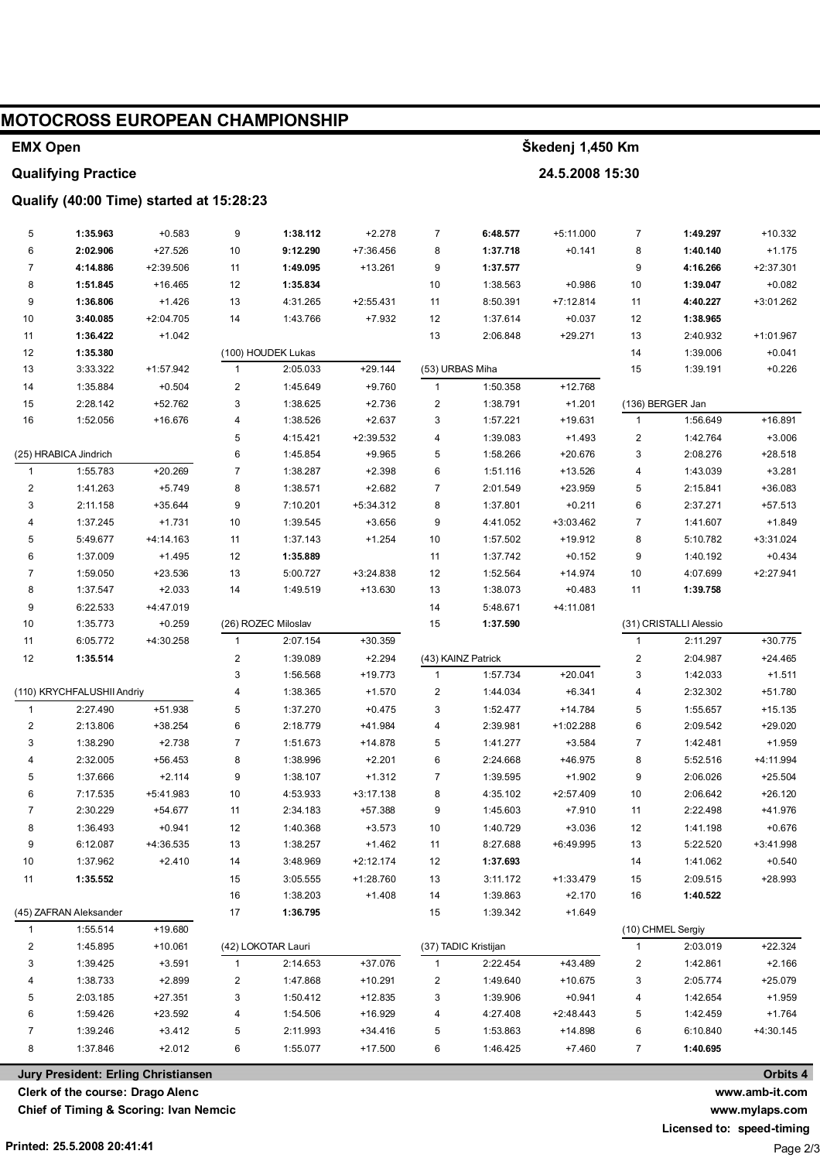| MOTOCROSS EUROPEAN CHAMPIONSHIP          |                                  |                                     |              |                      |                       |                 |                      |                      |                              |                        |                       |
|------------------------------------------|----------------------------------|-------------------------------------|--------------|----------------------|-----------------------|-----------------|----------------------|----------------------|------------------------------|------------------------|-----------------------|
| <b>EMX Open</b>                          |                                  |                                     |              |                      |                       |                 | Škedenj 1,450 Km     |                      |                              |                        |                       |
| <b>Qualifying Practice</b>               |                                  |                                     |              |                      | 24.5.2008 15:30       |                 |                      |                      |                              |                        |                       |
| Qualify (40:00 Time) started at 15:28:23 |                                  |                                     |              |                      |                       |                 |                      |                      |                              |                        |                       |
|                                          |                                  |                                     |              |                      |                       |                 |                      |                      |                              |                        |                       |
| 5                                        | 1:35.963                         | $+0.583$                            | 9            | 1:38.112             | $+2.278$              | 7               | 6:48.577             | $+5:11.000$          | 7                            | 1:49.297               | $+10.332$             |
| 6                                        | 2:02.906                         | +27.526                             | 10           | 9:12.290             | +7:36.456             | 8               | 1:37.718             | $+0.141$             | 8                            | 1:40.140               | $+1.175$              |
| $\overline{7}$                           | 4:14.886                         | +2:39.506                           | 11           | 1:49.095             | $+13.261$             | 9               | 1:37.577             |                      | 9                            | 4:16.266               | $+2:37.301$           |
| 8                                        | 1:51.845                         | $+16.465$                           | 12           | 1:35.834             |                       | 10              | 1:38.563             | $+0.986$             | 10                           | 1:39.047               | $+0.082$              |
| 9                                        | 1:36.806                         | $+1.426$                            | 13           | 4:31.265             | $+2:55.431$           | 11              | 8:50.391             | $+7:12.814$          | 11                           | 4:40.227               | +3:01.262             |
| 10                                       | 3:40.085                         | $+2:04.705$                         | 14           | 1:43.766             | $+7.932$              | 12              | 1:37.614             | $+0.037$             | 12                           | 1:38.965               |                       |
| 11                                       | 1:36.422                         | $+1.042$                            |              |                      |                       | 13              | 2:06.848             | $+29.271$            | 13                           | 2:40.932               | +1:01.967             |
| 12                                       | 1:35.380                         |                                     |              | (100) HOUDEK Lukas   |                       |                 |                      |                      | 14                           | 1:39.006               | $+0.041$              |
| 13                                       | 3:33.322                         | +1:57.942                           | $\mathbf{1}$ | 2:05.033             | $+29.144$             | (53) URBAS Miha |                      |                      | 15                           | 1:39.191               | $+0.226$              |
| 14                                       | 1:35.884                         | $+0.504$                            | 2            | 1:45.649             | $+9.760$              | $\mathbf{1}$    | 1:50.358             | $+12.768$            |                              |                        |                       |
| 15                                       | 2:28.142                         | +52.762                             | 3            | 1:38.625             | $+2.736$              | 2               | 1:38.791             | $+1.201$             |                              | (136) BERGER Jan       |                       |
| 16                                       | 1:52.056                         | +16.676                             | 4            | 1:38.526             | $+2.637$              | 3               | 1:57.221             | $+19.631$            | $\mathbf{1}$                 | 1:56.649               | +16.891               |
|                                          | (25) HRABICA Jindrich            |                                     | 5<br>6       | 4:15.421<br>1:45.854 | +2:39.532<br>$+9.965$ | 4<br>5          | 1:39.083<br>1:58.266 | $+1.493$<br>+20.676  | $\overline{\mathbf{c}}$<br>3 | 1:42.764<br>2:08.276   | $+3.006$<br>$+28.518$ |
| 1                                        | 1:55.783                         | $+20.269$                           | 7            | 1:38.287             | $+2.398$              | 6               | 1:51.116             | +13.526              | 4                            | 1:43.039               | $+3.281$              |
| $\overline{\mathbf{c}}$                  | 1:41.263                         | $+5.749$                            | 8            | 1:38.571             | $+2.682$              | 7               | 2:01.549             | +23.959              | 5                            | 2:15.841               | +36.083               |
| 3                                        | 2:11.158                         | +35.644                             | 9            | 7:10.201             | +5:34.312             | 8               | 1:37.801             | $+0.211$             | 6                            | 2:37.271               | +57.513               |
| 4                                        | 1:37.245                         | $+1.731$                            | 10           | 1:39.545             | $+3.656$              | 9               | 4:41.052             | +3:03.462            | $\overline{7}$               | 1:41.607               | $+1.849$              |
| 5                                        | 5:49.677                         | +4:14.163                           | 11           | 1:37.143             | $+1.254$              | 10              | 1:57.502             | +19.912              | 8                            | 5:10.782               | +3:31.024             |
| 6                                        | 1:37.009                         | $+1.495$                            | 12           | 1:35.889             |                       | 11              | 1:37.742             | $+0.152$             | 9                            | 1:40.192               | $+0.434$              |
| 7                                        | 1:59.050                         | +23.536                             | 13           | 5:00.727             | +3:24.838             | 12              | 1:52.564             | $+14.974$            | 10                           | 4:07.699               | $+2:27.941$           |
| 8                                        | 1:37.547                         | $+2.033$                            | 14           | 1:49.519             | +13.630               | 13              | 1:38.073             | $+0.483$             | 11                           | 1:39.758               |                       |
| 9                                        | 6:22.533                         | +4:47.019                           |              |                      |                       | 14              | 5:48.671             | +4:11.081            |                              |                        |                       |
| 10                                       | 1:35.773                         | $+0.259$                            |              | (26) ROZEC Miloslav  |                       | 15              | 1:37.590             |                      |                              | (31) CRISTALLI Alessio |                       |
| 11                                       | 6:05.772                         | +4:30.258                           | $\mathbf{1}$ | 2:07.154             | $+30.359$             |                 |                      |                      | $\mathbf{1}$                 | 2:11.297               | $+30.775$             |
| 12                                       | 1:35.514                         |                                     | 2            | 1:39.089             | $+2.294$              |                 | (43) KAINZ Patrick   |                      | $\overline{\mathbf{c}}$      | 2:04.987               | $+24.465$             |
|                                          |                                  |                                     | 3            | 1:56.568             | +19.773               | 1               | 1:57.734             | $+20.041$            | 3                            | 1:42.033               | $+1.511$              |
|                                          | (110) KRYCHFALUSHII Andriy       |                                     | 4            | 1:38.365             | $+1.570$              | 2               | 1:44.034             | $+6.341$             | 4                            | 2:32.302               | +51.780               |
| $\mathbf{1}$                             | 2:27.490                         | +51.938                             | 5            | 1:37.270             | $+0.475$              | 3               | 1:52.477             | $+14.784$            | 5                            | 1:55.657               | $+15.135$             |
| $\overline{c}$                           | 2:13.806                         | $+38.254$                           | 6            | 2:18.779             | +41.984               | 4               | 2:39.981             | +1:02.288            | 6                            | 2:09.542               | $+29.020$             |
| 3                                        | 1:38.290                         | $+2.738$                            | 7            | 1:51.673             | $+14.878$             | 5               | 1:41.277             | $+3.584$             | $\overline{7}$               | 1:42.481               | $+1.959$              |
| 4                                        | 2:32.005                         | $+56.453$                           | 8            | 1:38.996             | $+2.201$              | 6               | 2:24.668             | +46.975              | 8                            | 5:52.516               | +4:11.994             |
| 5                                        | 1:37.666                         | $+2.114$                            | 9            | 1:38.107             | $+1.312$              | $\overline{7}$  | 1:39.595             | $+1.902$             | 9                            | 2:06.026               | $+25.504$             |
| 6                                        | 7:17.535                         | +5:41.983                           | 10           | 4:53.933             | $+3:17.138$           | 8               | 4:35.102             | $+2:57.409$          | 10                           | 2:06.642               | $+26.120$             |
| 7                                        | 2:30.229                         | +54.677                             | 11           | 2:34.183             | +57.388               | 9               | 1:45.603             | $+7.910$             | 11                           | 2:22.498               | +41.976               |
| 8                                        | 1:36.493                         | $+0.941$                            | 12           | 1:40.368             | $+3.573$              | 10              | 1:40.729             | $+3.036$             | 12                           | 1:41.198               | $+0.676$              |
| 9                                        | 6:12.087                         | +4:36.535                           | 13           | 1:38.257             | $+1.462$              | 11              | 8:27.688             | +6:49.995            | 13                           | 5:22.520               | +3:41.998             |
| 10                                       | 1:37.962                         | $+2.410$                            | 14           | 3:48.969             | $+2:12.174$           | 12              | 1:37.693             |                      | 14                           | 1:41.062               | $+0.540$              |
| 11                                       | 1:35.552                         |                                     | 15           | 3:05.555             | +1:28.760             | 13              | 3:11.172             | +1:33.479            | 15                           | 2:09.515               | +28.993               |
|                                          | (45) ZAFRAN Aleksander           |                                     | 16<br>17     | 1:38.203<br>1:36.795 | $+1.408$              | 14<br>15        | 1:39.863<br>1:39.342 | $+2.170$<br>$+1.649$ | 16                           | 1:40.522               |                       |
| $\mathbf{1}$                             | 1:55.514                         | +19.680                             |              |                      |                       |                 |                      |                      |                              | (10) CHMEL Sergiy      |                       |
| 2                                        | 1:45.895                         | $+10.061$                           |              | (42) LOKOTAR Lauri   |                       |                 | (37) TADIC Kristijan |                      | 1                            | 2:03.019               | $+22.324$             |
| 3                                        | 1:39.425                         | $+3.591$                            | $\mathbf{1}$ | 2:14.653             | +37.076               | 1               | 2:22.454             | +43.489              | 2                            | 1:42.861               | $+2.166$              |
| 4                                        | 1:38.733                         | $+2.899$                            | 2            | 1:47.868             | $+10.291$             | 2               | 1:49.640             | $+10.675$            | 3                            | 2:05.774               | $+25.079$             |
| 5                                        | 2:03.185                         | $+27.351$                           | 3            | 1:50.412             | $+12.835$             | 3               | 1:39.906             | $+0.941$             | 4                            | 1:42.654               | $+1.959$              |
| 6                                        | 1:59.426                         | $+23.592$                           | 4            | 1:54.506             | +16.929               | 4               | 4:27.408             | +2:48.443            | 5                            | 1:42.459               | $+1.764$              |
| $\overline{7}$                           | 1:39.246                         | $+3.412$                            | 5            | 2:11.993             | $+34.416$             | 5               | 1:53.863             | +14.898              | 6                            | 6:10.840               | +4:30.145             |
| 8                                        | 1:37.846                         | $+2.012$                            | 6            | 1:55.077             | $+17.500$             | 6               | 1:46.425             | $+7.460$             | 7                            | 1:40.695               |                       |
|                                          |                                  |                                     |              |                      |                       |                 |                      |                      |                              |                        | Orbits 4              |
|                                          | Clerk of the course: Drago Alenc | Jury President: Erling Christiansen |              |                      |                       |                 |                      |                      |                              |                        | www.amb-it.com        |
|                                          |                                  |                                     |              |                      |                       |                 |                      |                      |                              |                        |                       |

Clerk of the course: Drago Alenc

**Chief of Timing & Scoring: Ivan Nemcic** 

www.mylaps.com

Licensed to: speed-timing